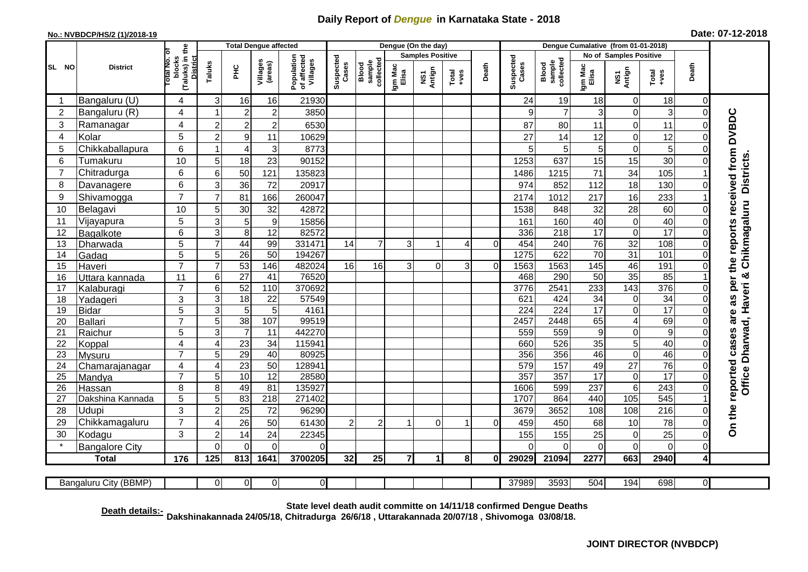## **Daily Report of** *Dengue* **in Karnataka State - 2018**

## **No.: NVBDCP/HS/2 (1)/2018-19 Date: 07-12-2018**

|                                                                                                                                                 | <b>District</b>          |                                                              | <b>Total Dengue affected</b> |                 |                     |                                       |                    |                              |                         | Dengue (On the day) |                  |          |                    |                              |                        |                         |                  |                            |                                                      |
|-------------------------------------------------------------------------------------------------------------------------------------------------|--------------------------|--------------------------------------------------------------|------------------------------|-----------------|---------------------|---------------------------------------|--------------------|------------------------------|-------------------------|---------------------|------------------|----------|--------------------|------------------------------|------------------------|-------------------------|------------------|----------------------------|------------------------------------------------------|
|                                                                                                                                                 |                          |                                                              |                              |                 |                     | Population<br>of affected<br>Villages | Suspected<br>Cases |                              | <b>Samples Positive</b> |                     |                  |          |                    |                              | No of Samples Positive |                         |                  |                            |                                                      |
| SL NO                                                                                                                                           |                          | (Taluks) in the<br>Total No. of<br>blocks<br><b>District</b> | Taluks                       | ЭHС             | Villages<br>(areas) |                                       |                    | sample<br>collected<br>Blood | Igm Mac<br>Elisa        | NS1<br>Antign       | $Tota$<br>$+ves$ | Death    | Suspected<br>Cases | collected<br>sample<br>Blood | Igm Mac<br>Elisa       | NS1<br>Antign           | Total<br>+ves    | Death                      |                                                      |
|                                                                                                                                                 | Bangaluru (U)            | 4                                                            | 3                            | 16              | 16                  | 21930                                 |                    |                              |                         |                     |                  |          | 24                 | 19                           | 18                     | 0                       | 18               | 0                          |                                                      |
| $\overline{2}$                                                                                                                                  | Bangaluru (R)            | 4                                                            |                              | $\overline{2}$  | $\overline{2}$      | 3850                                  |                    |                              |                         |                     |                  |          | 9                  | $\overline{7}$               | 3                      | $\mathbf 0$             | 3                | $\mathbf 0$                |                                                      |
| 3                                                                                                                                               | Ramanagar                | 4                                                            | $\overline{2}$               | $\overline{c}$  | $\overline{c}$      | 6530                                  |                    |                              |                         |                     |                  |          | 87                 | 80                           | 11                     | $\overline{0}$          | 11               | $\Omega$                   | <b>DVBDC</b>                                         |
| 4                                                                                                                                               | Kolar                    | 5                                                            | $\overline{2}$               | $9\,$           | 11                  | 10629                                 |                    |                              |                         |                     |                  |          | 27                 | 14                           | 12                     | $\overline{0}$          | 12               | $\Omega$                   |                                                      |
| 5                                                                                                                                               | Chikkaballapura          | 6                                                            |                              | $\overline{4}$  | 3                   | 8773                                  |                    |                              |                         |                     |                  |          | 5                  | 5                            | 5                      | $\overline{0}$          | 5                | $\Omega$                   |                                                      |
| 6                                                                                                                                               | Tumakuru                 | 10                                                           | 5                            | 18              | 23                  | 90152                                 |                    |                              |                         |                     |                  |          | 1253               | 637                          | 15                     | 15                      | 30               | $\Omega$                   | as per the reports received from<br><b>Districts</b> |
| 7                                                                                                                                               | Chitradurga              | 6                                                            | 6                            | 50              | 121                 | 135823                                |                    |                              |                         |                     |                  |          | 1486               | 1215                         | 71                     | 34                      | 105              |                            |                                                      |
| 8                                                                                                                                               | Davanagere               | 6                                                            | 3                            | 36              | 72                  | 20917                                 |                    |                              |                         |                     |                  |          | 974                | 852                          | 112                    | 18                      | 130              | $\Omega$                   |                                                      |
| 9                                                                                                                                               | Shivamogga               | $\overline{7}$                                               | $\overline{7}$               | 81              | 166                 | 260047                                |                    |                              |                         |                     |                  |          | 2174               | 1012                         | 217                    | 16                      | 233              |                            |                                                      |
| 10                                                                                                                                              | Belagavi                 | 10                                                           | 5                            | 30              | 32                  | 42872                                 |                    |                              |                         |                     |                  |          | 1538               | 848                          | 32                     | 28                      | 60               | $\Omega$                   | Chikmagaluru                                         |
| 11                                                                                                                                              | Vijayapura               | 5                                                            | 3                            | 5               | $\overline{9}$      | 15856                                 |                    |                              |                         |                     |                  |          | 161                | 160                          | 40                     | 0                       | 40               | $\Omega$                   |                                                      |
| 12                                                                                                                                              | Bagalkote                | 6                                                            | $\ensuremath{\mathsf{3}}$    | 8               | 12                  | 82572                                 |                    |                              |                         |                     |                  |          | 336                | 218                          | 17                     | 0                       | $\overline{17}$  | $\Omega$                   |                                                      |
| 13                                                                                                                                              | Dharwada                 | 5                                                            | $\overline{7}$               | 44              | 99                  | 331471                                | 14                 | $\overline{7}$               | 3                       |                     | 4                | $\Omega$ | 454                | 240                          | 76                     | $\overline{32}$         | 108              | $\Omega$                   |                                                      |
| 14                                                                                                                                              | Gadag                    | $\overline{5}$                                               | 5                            | $\overline{26}$ | 50                  | 194267                                |                    |                              |                         |                     |                  |          | 1275               | 622                          | 70                     | 31                      | 101              | $\mathbf 0$                |                                                      |
| 15                                                                                                                                              | Haveri                   | $\overline{7}$                                               | $\overline{7}$               | 53              | 146                 | 482024                                | 16                 | 16                           | 3                       | $\Omega$            | 3                | $\Omega$ | 1563               | 1563                         | 145                    | 46                      | 191              | $\mathbf 0$                |                                                      |
| 16                                                                                                                                              | Uttara kannada           | 11                                                           | 6                            | $\overline{27}$ | 41                  | 76520                                 |                    |                              |                         |                     |                  |          | 468                | 290                          | 50                     | 35                      | 85               |                            | ග්                                                   |
| 17                                                                                                                                              | Kalaburagi               | $\overline{7}$                                               | 6                            | 52              | 110                 | 370692                                |                    |                              |                         |                     |                  |          | 3776               | 2541                         | 233                    | 143                     | 376              | $\Omega$                   |                                                      |
| 18                                                                                                                                              | Yadageri                 | 3                                                            | 3                            | 18              | 22                  | 57549                                 |                    |                              |                         |                     |                  |          | 621                | 424                          | 34                     | 0                       | $\overline{34}$  | $\Omega$                   |                                                      |
| 19                                                                                                                                              | <b>Bidar</b>             | 5                                                            | 3                            | 5               | 5                   | 4161                                  |                    |                              |                         |                     |                  |          | 224                | 224                          | $\overline{17}$        | 0                       | 17               | $\Omega$                   | are                                                  |
| 20                                                                                                                                              | <b>Ballari</b>           | $\overline{7}$                                               | 5                            | 38              | 107                 | 99519                                 |                    |                              |                         |                     |                  |          | 2457               | 2448                         | 65                     | $\overline{\mathbf{4}}$ | 69               | $\Omega$                   |                                                      |
| 21                                                                                                                                              | Raichur                  | 5                                                            | 3                            | $\overline{7}$  | 11                  | 442270                                |                    |                              |                         |                     |                  |          | 559                | 559                          | $\boldsymbol{9}$       | 0                       | $\overline{9}$   | $\mathbf 0$                |                                                      |
| 22<br>23                                                                                                                                        | Koppal                   | $\overline{\mathbf{4}}$<br>$\overline{7}$                    | $\overline{4}$<br>5          | 23<br>29        | 34<br>40            | 115941<br>80925                       |                    |                              |                         |                     |                  |          | 660<br>356         | 526<br>356                   | 35<br>46               | 5<br>$\overline{0}$     | 40<br>46         | $\mathbf 0$<br>$\mathbf 0$ |                                                      |
| $\overline{24}$                                                                                                                                 | Mysuru<br>Chamarajanagar | $\overline{\mathbf{4}}$                                      | $\overline{4}$               | 23              | $\overline{50}$     | 128941                                |                    |                              |                         |                     |                  |          | 579                | 157                          | 49                     | $\overline{27}$         | 76               | $\mathbf 0$                |                                                      |
| 25                                                                                                                                              | Mandya                   | $\overline{7}$                                               | 5                            | 10              | 12                  | 28580                                 |                    |                              |                         |                     |                  |          | 357                | 357                          | 17                     | $\,0\,$                 | $\overline{17}$  | $\mathbf 0$                | Office Dharwad, Haveri<br>reported cases             |
| 26                                                                                                                                              | Hassan                   | 8                                                            | 8                            | 49              | 81                  | 135927                                |                    |                              |                         |                     |                  |          | 1606               | 599                          | 237                    | $6\phantom{1}6$         | 243              | $\mathbf 0$                |                                                      |
| 27                                                                                                                                              | Dakshina Kannada         | 5                                                            | 5                            | 83              | $\overline{218}$    | 271402                                |                    |                              |                         |                     |                  |          | 1707               | 864                          | 440                    | 105                     | 545              |                            |                                                      |
| 28                                                                                                                                              | Udupi                    | $\overline{3}$                                               | $\overline{2}$               | $\overline{25}$ | 72                  | 96290                                 |                    |                              |                         |                     |                  |          | 3679               | 3652                         | 108                    | 108                     | $\overline{216}$ | $\Omega$                   |                                                      |
| 29                                                                                                                                              | Chikkamagaluru           | $\overline{7}$                                               | ⊿                            | 26              | 50                  | 61430                                 | $\overline{c}$     | $\overline{c}$               |                         | $\Omega$            |                  | $\Omega$ | 459                | 450                          | 68                     | 10                      | 78               | $\Omega$                   | On the                                               |
| 30                                                                                                                                              | Kodagu                   | 3                                                            | $\overline{2}$               | 14              | 24                  | 22345                                 |                    |                              |                         |                     |                  |          | 155                | 155                          | 25                     | 0                       | 25               | $\mathbf 0$                |                                                      |
|                                                                                                                                                 | <b>Bangalore City</b>    |                                                              | $\Omega$                     | $\overline{0}$  | $\overline{0}$      | $\Omega$                              |                    |                              |                         |                     |                  |          | $\Omega$           | $\Omega$                     | $\mathbf 0$            | $\overline{0}$          | $\overline{0}$   | $\mathbf 0$                |                                                      |
|                                                                                                                                                 | <b>Total</b>             | 176                                                          | 125                          | 813             | 1641                | 3700205                               | 32                 | 25                           | $\overline{7}$          | 1.                  | 8                | 01       | 29029              | 21094                        | 2277                   | 663                     | 2940             | 4                          |                                                      |
|                                                                                                                                                 |                          |                                                              |                              |                 |                     |                                       |                    |                              |                         |                     |                  |          |                    |                              |                        |                         |                  |                            |                                                      |
| $\overline{0}$<br>$\overline{0}$<br>37989<br>3593<br>504<br>194<br>698<br>$\overline{0}$<br>Bangaluru City (BBMP)<br>$\Omega$<br>$\overline{0}$ |                          |                                                              |                              |                 |                     |                                       |                    |                              |                         |                     |                  |          |                    |                              |                        |                         |                  |                            |                                                      |

**Death details:- State level death audit committe on 14/11/18 confirmed Dengue Deaths Dakshinakannada 24/05/18, Chitradurga 26/6/18 , Uttarakannada 20/07/18 , Shivomoga 03/08/18.**